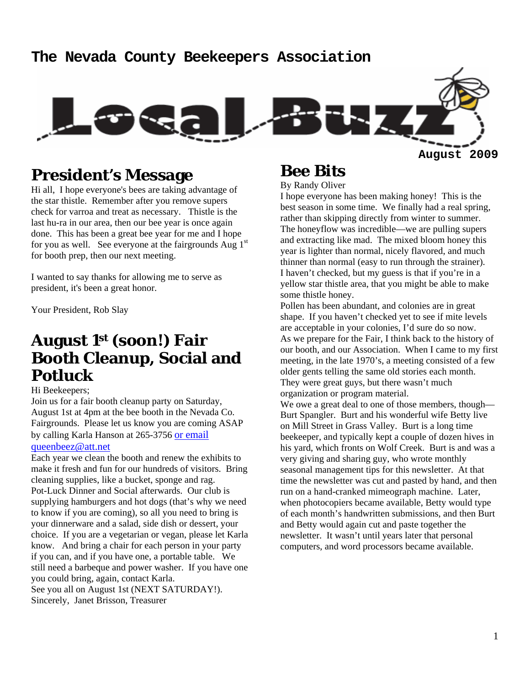#### **The Nevada County Beekeepers Association**



### **President's Message**

Hi all, I hope everyone's bees are taking advantage of the star thistle. Remember after you remove supers check for varroa and treat as necessary. Thistle is the last hu-ra in our area, then our bee year is once again done. This has been a great bee year for me and I hope for you as well. See everyone at the fairgrounds Aug  $1<sup>st</sup>$ for booth prep, then our next meeting.

I wanted to say thanks for allowing me to serve as president, it's been a great honor.

Your President, Rob Slay

### **August 1st (soon!) Fair Booth Cleanup, Social and Potluck**

#### Hi Beekeepers;

Join us for a fair booth cleanup party on Saturday, August 1st at 4pm at the bee booth in the Nevada Co. Fairgrounds. Please let us know you are coming ASAP by calling Karla Hanson at 265-3756 or email

#### queenbeez@att.net

Each year we clean the booth and renew the exhibits to make it fresh and fun for our hundreds of visitors. Bring cleaning supplies, like a bucket, sponge and rag. Pot-Luck Dinner and Social afterwards. Our club is supplying hamburgers and hot dogs (that's why we need to know if you are coming), so all you need to bring is your dinnerware and a salad, side dish or dessert, your choice. If you are a vegetarian or vegan, please let Karla know. And bring a chair for each person in your party if you can, and if you have one, a portable table. We still need a barbeque and power washer. If you have one you could bring, again, contact Karla. See you all on August 1st (NEXT SATURDAY!). Sincerely, Janet Brisson, Treasurer

# **Bee Bits**

By Randy Oliver

I hope everyone has been making honey! This is the best season in some time. We finally had a real spring, rather than skipping directly from winter to summer. The honeyflow was incredible—we are pulling supers and extracting like mad. The mixed bloom honey this year is lighter than normal, nicely flavored, and much thinner than normal (easy to run through the strainer). I haven't checked, but my guess is that if you're in a yellow star thistle area, that you might be able to make some thistle honey.

Pollen has been abundant, and colonies are in great shape. If you haven't checked yet to see if mite levels are acceptable in your colonies, I'd sure do so now. As we prepare for the Fair, I think back to the history of our booth, and our Association. When I came to my first meeting, in the late 1970's, a meeting consisted of a few older gents telling the same old stories each month. They were great guys, but there wasn't much organization or program material.

We owe a great deal to one of those members, though— Burt Spangler. Burt and his wonderful wife Betty live on Mill Street in Grass Valley. Burt is a long time beekeeper, and typically kept a couple of dozen hives in his yard, which fronts on Wolf Creek. Burt is and was a very giving and sharing guy, who wrote monthly seasonal management tips for this newsletter. At that time the newsletter was cut and pasted by hand, and then run on a hand-cranked mimeograph machine. Later, when photocopiers became available, Betty would type of each month's handwritten submissions, and then Burt and Betty would again cut and paste together the newsletter. It wasn't until years later that personal computers, and word processors became available.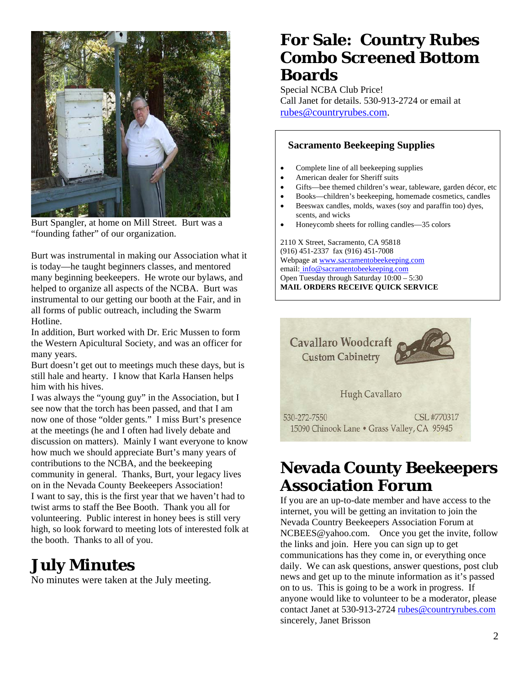

Burt Spangler, at home on Mill Street. Burt was a "founding father" of our organization.

Burt was instrumental in making our Association what it is today—he taught beginners classes, and mentored many beginning beekeepers. He wrote our bylaws, and helped to organize all aspects of the NCBA. Burt was instrumental to our getting our booth at the Fair, and in all forms of public outreach, including the Swarm Hotline.

In addition, Burt worked with Dr. Eric Mussen to form the Western Apicultural Society, and was an officer for many years.

Burt doesn't get out to meetings much these days, but is still hale and hearty. I know that Karla Hansen helps him with his hives.

I was always the "young guy" in the Association, but I see now that the torch has been passed, and that I am now one of those "older gents." I miss Burt's presence at the meetings (he and I often had lively debate and discussion on matters). Mainly I want everyone to know how much we should appreciate Burt's many years of contributions to the NCBA, and the beekeeping community in general. Thanks, Burt, your legacy lives on in the Nevada County Beekeepers Association! I want to say, this is the first year that we haven't had to twist arms to staff the Bee Booth. Thank you all for volunteering. Public interest in honey bees is still very high, so look forward to meeting lots of interested folk at the booth. Thanks to all of you.

### **July Minutes**

No minutes were taken at the July meeting.

# **For Sale: Country Rubes Combo Screened Bottom Boards**

Special NCBA Club Price! Call Janet for details. 530-913-2724 or email at rubes@countryrubes.com.

#### **Sacramento Beekeeping Supplies**

- Complete line of all beekeeping supplies
- American dealer for Sheriff suits
- Gifts—bee themed children's wear, tableware, garden décor, etc
- Books—children's beekeeping, homemade cosmetics, candles • Beeswax candles, molds, waxes (soy and paraffin too) dyes,
- scents, and wicks • Honeycomb sheets for rolling candles—35 colors

2110 X Street, Sacramento, CA 95818 (916) 451-2337 fax (916) 451-7008 Webpage at www.sacramentobeekeeping.com email: info@sacramentobeekeeping.com Open Tuesday through Saturday 10:00 – 5:30 **MAIL ORDERS RECEIVE QUICK SERVICE** 



## **Nevada County Beekeepers Association Forum**

If you are an up-to-date member and have access to the internet, you will be getting an invitation to join the Nevada Country Beekeepers Association Forum at NCBEES@yahoo.com. Once you get the invite, follow the links and join. Here you can sign up to get communications has they come in, or everything once daily. We can ask questions, answer questions, post club news and get up to the minute information as it's passed on to us. This is going to be a work in progress. If anyone would like to volunteer to be a moderator, please contact Janet at 530-913-2724 rubes@countryrubes.com sincerely, Janet Brisson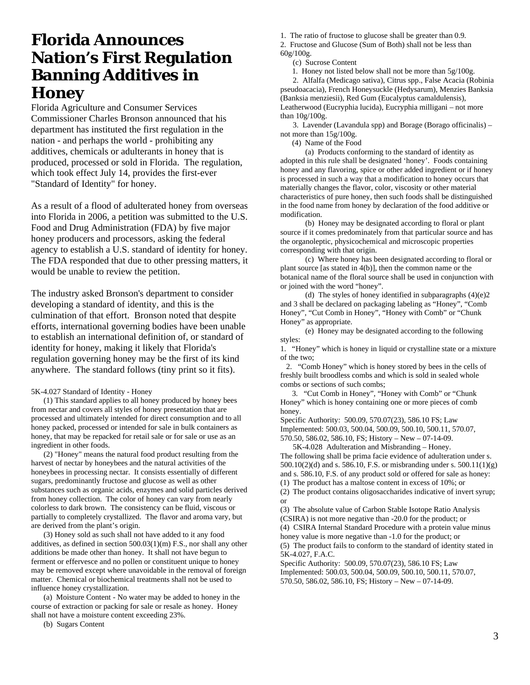### **Florida Announces Nation's First Regulation Banning Additives in Honey**

Florida Agriculture and Consumer Services Commissioner Charles Bronson announced that his department has instituted the first regulation in the nation - and perhaps the world - prohibiting any additives, chemicals or adulterants in honey that is produced, processed or sold in Florida. The regulation, which took effect July 14, provides the first-ever "Standard of Identity" for honey.

As a result of a flood of adulterated honey from overseas into Florida in 2006, a petition was submitted to the U.S. Food and Drug Administration (FDA) by five major honey producers and processors, asking the federal agency to establish a U.S. standard of identity for honey. The FDA responded that due to other pressing matters, it would be unable to review the petition.

The industry asked Bronson's department to consider developing a standard of identity, and this is the culmination of that effort. Bronson noted that despite efforts, international governing bodies have been unable to establish an international definition of, or standard of identity for honey, making it likely that Florida's regulation governing honey may be the first of its kind anywhere. The standard follows (tiny print so it fits).

5K-4.027 Standard of Identity - Honey

 (1) This standard applies to all honey produced by honey bees from nectar and covers all styles of honey presentation that are processed and ultimately intended for direct consumption and to all honey packed, processed or intended for sale in bulk containers as honey, that may be repacked for retail sale or for sale or use as an ingredient in other foods.

 (2) "Honey" means the natural food product resulting from the harvest of nectar by honeybees and the natural activities of the honeybees in processing nectar. It consists essentially of different sugars, predominantly fructose and glucose as well as other substances such as organic acids, enzymes and solid particles derived from honey collection. The color of honey can vary from nearly colorless to dark brown. The consistency can be fluid, viscous or partially to completely crystallized. The flavor and aroma vary, but are derived from the plant's origin.

 (3) Honey sold as such shall not have added to it any food additives, as defined in section 500.03(1)(m) F.S., nor shall any other additions be made other than honey. It shall not have begun to ferment or effervesce and no pollen or constituent unique to honey may be removed except where unavoidable in the removal of foreign matter. Chemical or biochemical treatments shall not be used to influence honey crystallization.

 (a) Moisture Content - No water may be added to honey in the course of extraction or packing for sale or resale as honey. Honey shall not have a moisture content exceeding 23%.

(b) Sugars Content

1. The ratio of fructose to glucose shall be greater than 0.9. 2. Fructose and Glucose (Sum of Both) shall not be less than 60g/100g.

(c) Sucrose Content

1. Honey not listed below shall not be more than 5g/100g.

 2. Alfalfa (Medicago sativa), Citrus spp., False Acacia (Robinia pseudoacacia), French Honeysuckle (Hedysarum), Menzies Banksia (Banksia menziesii), Red Gum (Eucalyptus camaldulensis), Leatherwood (Eucryphia lucida), Eucryphia milligani – not more than 10g/100g.

 3. Lavender (Lavandula spp) and Borage (Borago officinalis) – not more than 15g/100g.

(4) Name of the Food

 (a) Products conforming to the standard of identity as adopted in this rule shall be designated 'honey'. Foods containing honey and any flavoring, spice or other added ingredient or if honey is processed in such a way that a modification to honey occurs that materially changes the flavor, color, viscosity or other material characteristics of pure honey, then such foods shall be distinguished in the food name from honey by declaration of the food additive or modification.

 (b) Honey may be designated according to floral or plant source if it comes predominately from that particular source and has the organoleptic, physicochemical and microscopic properties corresponding with that origin.

 (c) Where honey has been designated according to floral or plant source [as stated in 4(b)], then the common name or the botanical name of the floral source shall be used in conjunction with or joined with the word "honey".

 (d) The styles of honey identified in subparagraphs (4)(e)2 and 3 shall be declared on packaging labeling as "Honey", "Comb Honey", "Cut Comb in Honey", "Honey with Comb" or "Chunk Honey" as appropriate.

 (e) Honey may be designated according to the following styles:

1. "Honey" which is honey in liquid or crystalline state or a mixture of the two;

 2. "Comb Honey" which is honey stored by bees in the cells of freshly built broodless combs and which is sold in sealed whole combs or sections of such combs;

 3. "Cut Comb in Honey", "Honey with Comb" or "Chunk Honey" which is honey containing one or more pieces of comb honey.

Specific Authority: 500.09, 570.07(23), 586.10 FS; Law Implemented: 500.03, 500.04, 500.09, 500.10, 500.11, 570.07, 570.50, 586.02, 586.10, FS; History – New – 07-14-09.

 5K-4.028 Adulteration and Misbranding – Honey. The following shall be prima facie evidence of adulteration under s. 500.10(2)(d) and s. 586.10, F.S. or misbranding under s. 500.11(1)(g) and s. 586.10, F.S. of any product sold or offered for sale as honey: (1) The product has a maltose content in excess of 10%; or

(2) The product contains oligosaccharides indicative of invert syrup; or

(3) The absolute value of Carbon Stable Isotope Ratio Analysis (CSIRA) is not more negative than -20.0 for the product; or (4) CSIRA Internal Standard Procedure with a protein value minus

honey value is more negative than -1.0 for the product; or (5) The product fails to conform to the standard of identity stated in 5K-4.027, F.A.C.

Specific Authority: 500.09, 570.07(23), 586.10 FS; Law Implemented: 500.03, 500.04, 500.09, 500.10, 500.11, 570.07, 570.50, 586.02, 586.10, FS; History – New – 07-14-09.